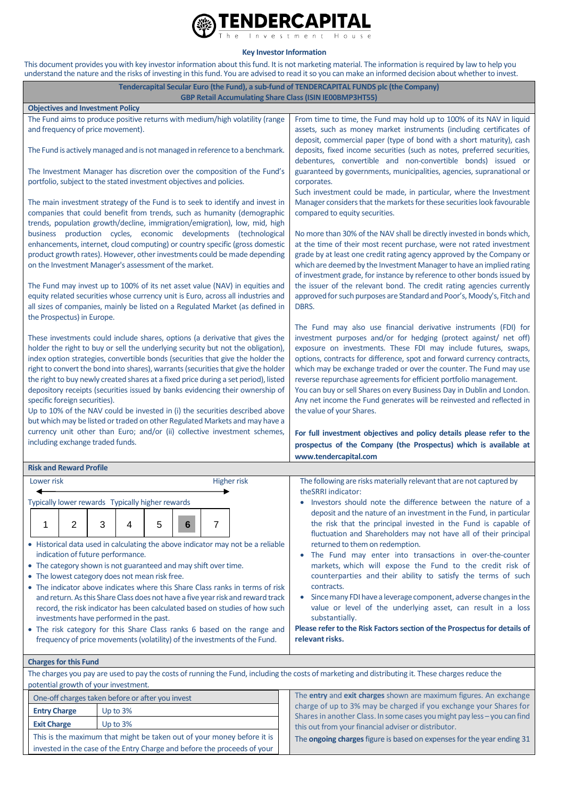

**Key Investor Information**

This document provides you with key investor information about this fund. It is not marketing material. The information is required by law to help you understand the nature and the risks of investing in this fund. You are advised to read it so you can make an informed decision about whether to invest.

| Tendercapital Secular Euro (the Fund), a sub-fund of TENDERCAPITAL FUNDS plc (the Company)<br><b>GBP Retail Accumulating Share Class (ISIN IE00BMP3HT55)</b>                                                                                                                                                                                                                                                                                                                                                                                                                                                                                                                                                                                                                                                                      |                                                                                                                                                                                           |                                                                                                                                                                                                                                                                                                                                                                                                                                                                         |                                                                                                                                                                                                                                                                                                                                                                                                                                                                                                                                                                                                                                                                                                                                                                             |  |  |  |  |
|-----------------------------------------------------------------------------------------------------------------------------------------------------------------------------------------------------------------------------------------------------------------------------------------------------------------------------------------------------------------------------------------------------------------------------------------------------------------------------------------------------------------------------------------------------------------------------------------------------------------------------------------------------------------------------------------------------------------------------------------------------------------------------------------------------------------------------------|-------------------------------------------------------------------------------------------------------------------------------------------------------------------------------------------|-------------------------------------------------------------------------------------------------------------------------------------------------------------------------------------------------------------------------------------------------------------------------------------------------------------------------------------------------------------------------------------------------------------------------------------------------------------------------|-----------------------------------------------------------------------------------------------------------------------------------------------------------------------------------------------------------------------------------------------------------------------------------------------------------------------------------------------------------------------------------------------------------------------------------------------------------------------------------------------------------------------------------------------------------------------------------------------------------------------------------------------------------------------------------------------------------------------------------------------------------------------------|--|--|--|--|
|                                                                                                                                                                                                                                                                                                                                                                                                                                                                                                                                                                                                                                                                                                                                                                                                                                   | <b>Objectives and Investment Policy</b>                                                                                                                                                   |                                                                                                                                                                                                                                                                                                                                                                                                                                                                         |                                                                                                                                                                                                                                                                                                                                                                                                                                                                                                                                                                                                                                                                                                                                                                             |  |  |  |  |
| The Fund aims to produce positive returns with medium/high volatility (range<br>and frequency of price movement).                                                                                                                                                                                                                                                                                                                                                                                                                                                                                                                                                                                                                                                                                                                 |                                                                                                                                                                                           |                                                                                                                                                                                                                                                                                                                                                                                                                                                                         | From time to time, the Fund may hold up to 100% of its NAV in liquid<br>assets, such as money market instruments (including certificates of<br>deposit, commercial paper (type of bond with a short maturity), cash                                                                                                                                                                                                                                                                                                                                                                                                                                                                                                                                                         |  |  |  |  |
| The Fund is actively managed and is not managed in reference to a benchmark.                                                                                                                                                                                                                                                                                                                                                                                                                                                                                                                                                                                                                                                                                                                                                      |                                                                                                                                                                                           |                                                                                                                                                                                                                                                                                                                                                                                                                                                                         | deposits, fixed income securities (such as notes, preferred securities,<br>debentures, convertible and non-convertible bonds) issued or<br>guaranteed by governments, municipalities, agencies, supranational or<br>corporates.<br>Such investment could be made, in particular, where the Investment                                                                                                                                                                                                                                                                                                                                                                                                                                                                       |  |  |  |  |
| The Investment Manager has discretion over the composition of the Fund's<br>portfolio, subject to the stated investment objectives and policies.                                                                                                                                                                                                                                                                                                                                                                                                                                                                                                                                                                                                                                                                                  |                                                                                                                                                                                           |                                                                                                                                                                                                                                                                                                                                                                                                                                                                         |                                                                                                                                                                                                                                                                                                                                                                                                                                                                                                                                                                                                                                                                                                                                                                             |  |  |  |  |
|                                                                                                                                                                                                                                                                                                                                                                                                                                                                                                                                                                                                                                                                                                                                                                                                                                   | on the Investment Manager's assessment of the market.                                                                                                                                     | The main investment strategy of the Fund is to seek to identify and invest in<br>companies that could benefit from trends, such as humanity (demographic<br>trends, population growth/decline, immigration/emigration), low, mid, high<br>business production cycles, economic developments (technological<br>enhancements, internet, cloud computing) or country specific (gross domestic<br>product growth rates). However, other investments could be made depending | Manager considers that the markets for these securities look favourable<br>compared to equity securities.<br>No more than 30% of the NAV shall be directly invested in bonds which,<br>at the time of their most recent purchase, were not rated investment<br>grade by at least one credit rating agency approved by the Company or<br>which are deemed by the Investment Manager to have an implied rating<br>of investment grade, for instance by reference to other bonds issued by                                                                                                                                                                                                                                                                                     |  |  |  |  |
|                                                                                                                                                                                                                                                                                                                                                                                                                                                                                                                                                                                                                                                                                                                                                                                                                                   | the Prospectus) in Europe.                                                                                                                                                                | The Fund may invest up to 100% of its net asset value (NAV) in equities and<br>equity related securities whose currency unit is Euro, across all industries and<br>all sizes of companies, mainly be listed on a Regulated Market (as defined in                                                                                                                                                                                                                        | the issuer of the relevant bond. The credit rating agencies currently<br>approved for such purposes are Standard and Poor's, Moody's, Fitch and<br>DBRS.                                                                                                                                                                                                                                                                                                                                                                                                                                                                                                                                                                                                                    |  |  |  |  |
| These investments could include shares, options (a derivative that gives the<br>holder the right to buy or sell the underlying security but not the obligation),<br>index option strategies, convertible bonds (securities that give the holder the<br>right to convert the bond into shares), warrants (securities that give the holder<br>the right to buy newly created shares at a fixed price during a set period), listed<br>depository receipts (securities issued by banks evidencing their ownership of<br>specific foreign securities).<br>Up to 10% of the NAV could be invested in (i) the securities described above<br>but which may be listed or traded on other Regulated Markets and may have a<br>currency unit other than Euro; and/or (ii) collective investment schemes,<br>including exchange traded funds. |                                                                                                                                                                                           |                                                                                                                                                                                                                                                                                                                                                                                                                                                                         | The Fund may also use financial derivative instruments (FDI) for<br>investment purposes and/or for hedging (protect against/ net off)<br>exposure on investments. These FDI may include futures, swaps,<br>options, contracts for difference, spot and forward currency contracts,<br>which may be exchange traded or over the counter. The Fund may use<br>reverse repurchase agreements for efficient portfolio management.<br>You can buy or sell Shares on every Business Day in Dublin and London.<br>Any net income the Fund generates will be reinvested and reflected in<br>the value of your Shares.<br>For full investment objectives and policy details please refer to the<br>prospectus of the Company (the Prospectus) which is available at                  |  |  |  |  |
|                                                                                                                                                                                                                                                                                                                                                                                                                                                                                                                                                                                                                                                                                                                                                                                                                                   | <b>Risk and Reward Profile</b>                                                                                                                                                            |                                                                                                                                                                                                                                                                                                                                                                                                                                                                         | www.tendercapital.com                                                                                                                                                                                                                                                                                                                                                                                                                                                                                                                                                                                                                                                                                                                                                       |  |  |  |  |
|                                                                                                                                                                                                                                                                                                                                                                                                                                                                                                                                                                                                                                                                                                                                                                                                                                   | Lower risk                                                                                                                                                                                | <b>Higher risk</b>                                                                                                                                                                                                                                                                                                                                                                                                                                                      | The following are risks materially relevant that are not captured by                                                                                                                                                                                                                                                                                                                                                                                                                                                                                                                                                                                                                                                                                                        |  |  |  |  |
|                                                                                                                                                                                                                                                                                                                                                                                                                                                                                                                                                                                                                                                                                                                                                                                                                                   | Typically lower rewards Typically higher rewards                                                                                                                                          |                                                                                                                                                                                                                                                                                                                                                                                                                                                                         | theSRRI indicator:                                                                                                                                                                                                                                                                                                                                                                                                                                                                                                                                                                                                                                                                                                                                                          |  |  |  |  |
| 2<br>3<br>5<br>7<br>1<br>6<br>4<br>• Historical data used in calculating the above indicator may not be a reliable<br>indication of future performance.<br>• The category shown is not guaranteed and may shift over time.<br>• The lowest category does not mean risk free.<br>• The indicator above indicates where this Share Class ranks in terms of risk<br>and return. As this Share Class does not have a five year risk and reward track<br>record, the risk indicator has been calculated based on studies of how such<br>investments have performed in the past.<br>• The risk category for this Share Class ranks 6 based on the range and                                                                                                                                                                             |                                                                                                                                                                                           |                                                                                                                                                                                                                                                                                                                                                                                                                                                                         | • Investors should note the difference between the nature of a<br>deposit and the nature of an investment in the Fund, in particular<br>the risk that the principal invested in the Fund is capable of<br>fluctuation and Shareholders may not have all of their principal<br>returned to them on redemption.<br>The Fund may enter into transactions in over-the-counter<br>markets, which will expose the Fund to the credit risk of<br>counterparties and their ability to satisfy the terms of such<br>contracts.<br>Since many FDI have a leverage component, adverse changes in the<br>value or level of the underlying asset, can result in a loss<br>substantially.<br>Please refer to the Risk Factors section of the Prospectus for details of<br>relevant risks. |  |  |  |  |
|                                                                                                                                                                                                                                                                                                                                                                                                                                                                                                                                                                                                                                                                                                                                                                                                                                   |                                                                                                                                                                                           | frequency of price movements (volatility) of the investments of the Fund.                                                                                                                                                                                                                                                                                                                                                                                               |                                                                                                                                                                                                                                                                                                                                                                                                                                                                                                                                                                                                                                                                                                                                                                             |  |  |  |  |
|                                                                                                                                                                                                                                                                                                                                                                                                                                                                                                                                                                                                                                                                                                                                                                                                                                   | <b>Charges for this Fund</b>                                                                                                                                                              |                                                                                                                                                                                                                                                                                                                                                                                                                                                                         |                                                                                                                                                                                                                                                                                                                                                                                                                                                                                                                                                                                                                                                                                                                                                                             |  |  |  |  |
|                                                                                                                                                                                                                                                                                                                                                                                                                                                                                                                                                                                                                                                                                                                                                                                                                                   | The charges you pay are used to pay the costs of running the Fund, including the costs of marketing and distributing it. These charges reduce the<br>potential growth of your investment. |                                                                                                                                                                                                                                                                                                                                                                                                                                                                         |                                                                                                                                                                                                                                                                                                                                                                                                                                                                                                                                                                                                                                                                                                                                                                             |  |  |  |  |
|                                                                                                                                                                                                                                                                                                                                                                                                                                                                                                                                                                                                                                                                                                                                                                                                                                   | One-off charges taken before or after you invest                                                                                                                                          |                                                                                                                                                                                                                                                                                                                                                                                                                                                                         | The entry and exit charges shown are maximum figures. An exchange                                                                                                                                                                                                                                                                                                                                                                                                                                                                                                                                                                                                                                                                                                           |  |  |  |  |
|                                                                                                                                                                                                                                                                                                                                                                                                                                                                                                                                                                                                                                                                                                                                                                                                                                   | Up to 3%<br><b>Entry Charge</b>                                                                                                                                                           |                                                                                                                                                                                                                                                                                                                                                                                                                                                                         | charge of up to 3% may be charged if you exchange your Shares for<br>Shares in another Class. In some cases you might pay less - you can find<br>this out from your financial adviser or distributor.                                                                                                                                                                                                                                                                                                                                                                                                                                                                                                                                                                       |  |  |  |  |
|                                                                                                                                                                                                                                                                                                                                                                                                                                                                                                                                                                                                                                                                                                                                                                                                                                   | Up to 3%<br><b>Exit Charge</b>                                                                                                                                                            |                                                                                                                                                                                                                                                                                                                                                                                                                                                                         |                                                                                                                                                                                                                                                                                                                                                                                                                                                                                                                                                                                                                                                                                                                                                                             |  |  |  |  |
|                                                                                                                                                                                                                                                                                                                                                                                                                                                                                                                                                                                                                                                                                                                                                                                                                                   |                                                                                                                                                                                           | This is the maximum that might be taken out of your money before it is                                                                                                                                                                                                                                                                                                                                                                                                  | The ongoing charges figure is based on expenses for the year ending 31                                                                                                                                                                                                                                                                                                                                                                                                                                                                                                                                                                                                                                                                                                      |  |  |  |  |

invested in the case of the Entry Charge and before the proceeds of your